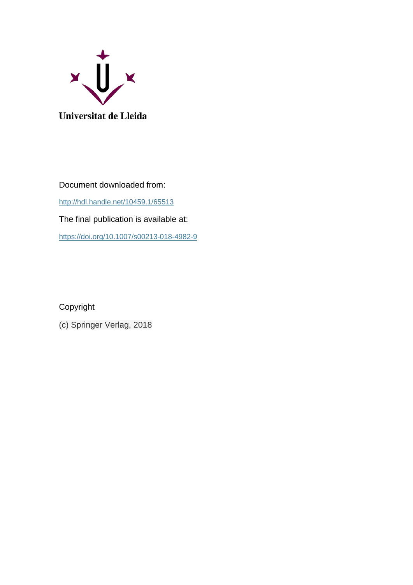

Document downloaded from:

<http://hdl.handle.net/10459.1/65513>

The final publication is available at:

<https://doi.org/10.1007/s00213-018-4982-9>

Copyright

(c) Springer Verlag, 2018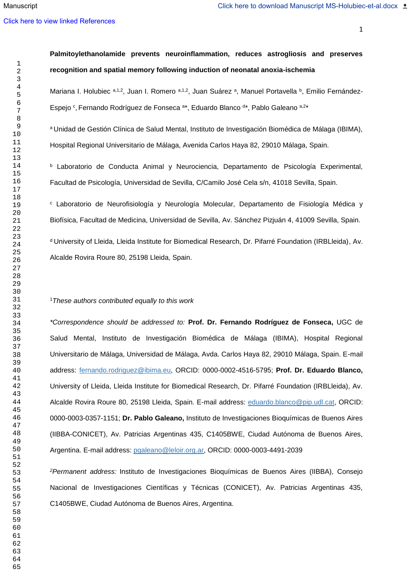#### [Click here to view linked References](http://www.editorialmanager.com/psph/viewRCResults.aspx?pdf=1&docID=625&rev=0&fileID=16361&msid={033F21A2-69C9-47F7-A599-F1B66A91D702})

# **Palmitoylethanolamide prevents neuroinflammation, reduces astrogliosis and preserves recognition and spatial memory following induction of neonatal anoxia-ischemia**

Mariana I. Holubiec a,1,2, Juan I. Romero a,1,2, Juan Suárez a, Manuel Portavella <sup>b</sup>, Emilio Fernández-Espejo <sup>c</sup>, Fernando Rodríguez de Fonseca <sup>a\*</sup>, Eduardo Blanco <sup>d\*</sup>, Pablo Galeano <sup>a,2\*</sup>

<sup>a</sup>Unidad de Gestión Clínica de Salud Mental, Instituto de Investigación Biomédica de Málaga (IBIMA), Hospital Regional Universitario de Málaga, Avenida Carlos Haya 82, 29010 Málaga, Spain.

<sup>b</sup> Laboratorio de Conducta Animal y Neurociencia, Departamento de Psicología Experimental, Facultad de Psicología, Universidad de Sevilla, C/Camilo José Cela s/n, 41018 Sevilla, Spain.

<sup>c</sup> Laboratorio de Neurofisiología y Neurología Molecular, Departamento de Fisiología Médica y Biofísica, Facultad de Medicina, Universidad de Sevilla, Av. Sánchez Pizjuán 4, 41009 Sevilla, Spain.

<sup>d</sup> University of Lleida, Lleida Institute for Biomedical Research, Dr. Pifarré Foundation (IRBLleida), Av. Alcalde Rovira Roure 80, 25198 Lleida, Spain.

# *These authors contributed equally to this work*

*\*Correspondence should be addressed to:* **Prof. Dr. Fernando Rodríguez de Fonseca,** UGC de Salud Mental, Instituto de Investigación Biomédica de Málaga (IBIMA), Hospital Regional Universitario de Málaga, Universidad de Málaga, Avda. Carlos Haya 82, 29010 Málaga, Spain. E-mail address: [fernando.rodriguez@ibima.eu,](mailto:fernando.rodriguez@ibima.eu) ORCID: 0000-0002-4516-5795; **Prof. Dr. Eduardo Blanco,** University of Lleida, Lleida Institute for Biomedical Research, Dr. Pifarré Foundation (IRBLleida), Av. Alcalde Rovira Roure 80, 25198 Lleida, Spain. E-mail address: [eduardo.blanco@pip.udl.cat,](mailto:eduardo.blanco@pip.udl.cat) ORCID: 0000-0003-0357-1151; **Dr. Pablo Galeano,** Instituto de Investigaciones Bioquímicas de Buenos Aires (IIBBA-CONICET), Av. Patricias Argentinas 435, C1405BWE, Ciudad Autónoma de Buenos Aires, Argentina. E-mail address: [pgaleano@leloir.org.ar,](mailto:pgaleano@leloir.org.ar) ORCID: 0000-0003-4491-2039

*Permanent address:* Instituto de Investigaciones Bioquímicas de Buenos Aires (IIBBA), Consejo Nacional de Investigaciones Científicas y Técnicas (CONICET), Av. Patricias Argentinas 435, C1405BWE, Ciudad Autónoma de Buenos Aires, Argentina.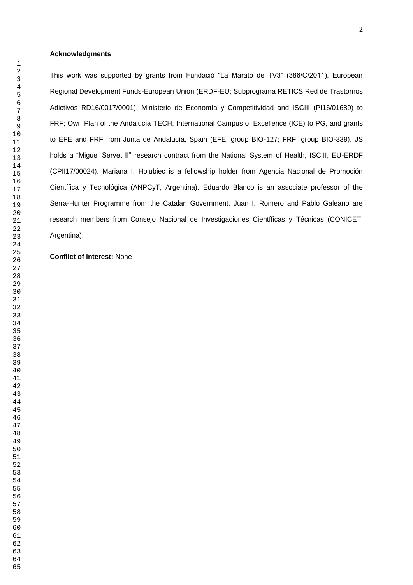## **Acknowledgments**

This work was supported by grants from Fundació "La Marató de TV3" (386/C/2011), European Regional Development Funds-European Union (ERDF-EU; Subprograma RETICS Red de Trastornos Adictivos RD16/0017/0001), Ministerio de Economía y Competitividad and ISCIII (PI16/01689) to FRF; Own Plan of the Andalucía TECH, International Campus of Excellence (ICE) to PG, and grants to EFE and FRF from Junta de Andalucía, Spain (EFE, group BIO-127; FRF, group BIO-339). JS holds a "Miguel Servet II" research contract from the National System of Health, ISCIII, EU-ERDF (CPII17/00024). Mariana I. Holubiec is a fellowship holder from Agencia Nacional de Promoción Científica y Tecnológica (ANPCyT, Argentina). Eduardo Blanco is an associate professor of the Serra-Hunter Programme from the Catalan Government. Juan I. Romero and Pablo Galeano are research members from Consejo Nacional de Investigaciones Científicas y Técnicas (CONICET, Argentina).

## **Conflict of interest:** None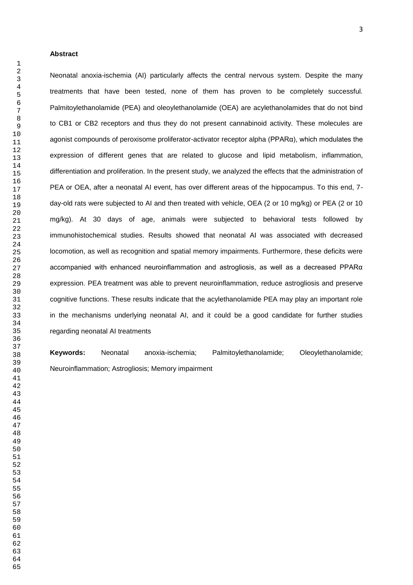#### **Abstract**

Neonatal anoxia-ischemia (AI) particularly affects the central nervous system. Despite the many treatments that have been tested, none of them has proven to be completely successful. Palmitoylethanolamide (PEA) and oleoylethanolamide (OEA) are acylethanolamides that do not bind to CB1 or CB2 receptors and thus they do not present cannabinoid activity. These molecules are agonist compounds of peroxisome proliferator-activator receptor alpha (PPARα), which modulates the expression of different genes that are related to glucose and lipid metabolism, inflammation, differentiation and proliferation. In the present study, we analyzed the effects that the administration of PEA or OEA, after a neonatal AI event, has over different areas of the hippocampus. To this end, 7 day-old rats were subjected to AI and then treated with vehicle, OEA (2 or 10 mg/kg) or PEA (2 or 10 mg/kg). At 30 days of age, animals were subjected to behavioral tests followed by immunohistochemical studies. Results showed that neonatal AI was associated with decreased locomotion, as well as recognition and spatial memory impairments. Furthermore, these deficits were accompanied with enhanced neuroinflammation and astrogliosis, as well as a decreased PPARα expression. PEA treatment was able to prevent neuroinflammation, reduce astrogliosis and preserve cognitive functions. These results indicate that the acylethanolamide PEA may play an important role in the mechanisms underlying neonatal AI, and it could be a good candidate for further studies regarding neonatal AI treatments

**Keywords:** Neonatal anoxia-ischemia; Palmitoylethanolamide; Oleoylethanolamide; Neuroinflammation; Astrogliosis; Memory impairment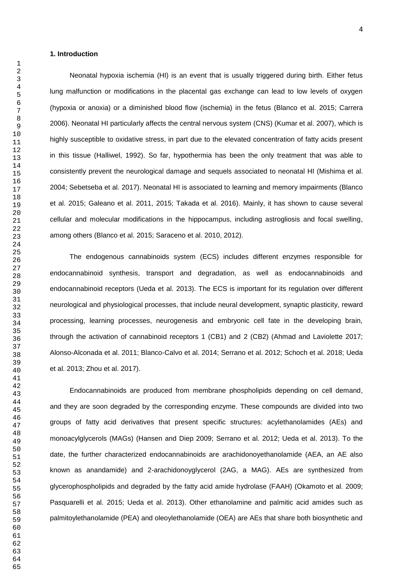## **1. Introduction**

Neonatal hypoxia ischemia (HI) is an event that is usually triggered during birth. Either fetus lung malfunction or modifications in the placental gas exchange can lead to low levels of oxygen (hypoxia or anoxia) or a diminished blood flow (ischemia) in the fetus (Blanco et al. 2015; Carrera 2006). Neonatal HI particularly affects the central nervous system (CNS) (Kumar et al. 2007), which is highly susceptible to oxidative stress, in part due to the elevated concentration of fatty acids present in this tissue (Halliwel, 1992). So far, hypothermia has been the only treatment that was able to consistently prevent the neurological damage and sequels associated to neonatal HI (Mishima et al. 2004; Sebetseba et al. 2017). Neonatal HI is associated to learning and memory impairments (Blanco et al. 2015; Galeano et al. 2011, 2015; Takada et al. 2016). Mainly, it has shown to cause several cellular and molecular modifications in the hippocampus, including astrogliosis and focal swelling, among others (Blanco et al. 2015; Saraceno et al. 2010, 2012).

The endogenous cannabinoids system (ECS) includes different enzymes responsible for endocannabinoid synthesis, transport and degradation, as well as endocannabinoids and endocannabinoid receptors (Ueda et al. 2013). The ECS is important for its regulation over different neurological and physiological processes, that include neural development, synaptic plasticity, reward processing, learning processes, neurogenesis and embryonic cell fate in the developing brain, through the activation of cannabinoid receptors 1 (CB1) and 2 (CB2) (Ahmad and Laviolette 2017; Alonso-Alconada et al. 2011; Blanco-Calvo et al. 2014; Serrano et al. 2012; Schoch et al. 2018; Ueda et al. 2013; Zhou et al. 2017).

Endocannabinoids are produced from membrane phospholipids depending on cell demand, and they are soon degraded by the corresponding enzyme. These compounds are divided into two groups of fatty acid derivatives that present specific structures: acylethanolamides (AEs) and monoacylglycerols (MAGs) (Hansen and Diep 2009; Serrano et al. 2012; Ueda et al. 2013). To the date, the further characterized endocannabinoids are arachidonoyethanolamide (AEA, an AE also known as anandamide) and 2-arachidonoyglycerol (2AG, a MAG). AEs are synthesized from glycerophospholipids and degraded by the fatty acid amide hydrolase (FAAH) (Okamoto et al. 2009; Pasquarelli et al. 2015; Ueda et al. 2013). Other ethanolamine and palmitic acid amides such as palmitoylethanolamide (PEA) and oleoylethanolamide (OEA) are AEs that share both biosynthetic and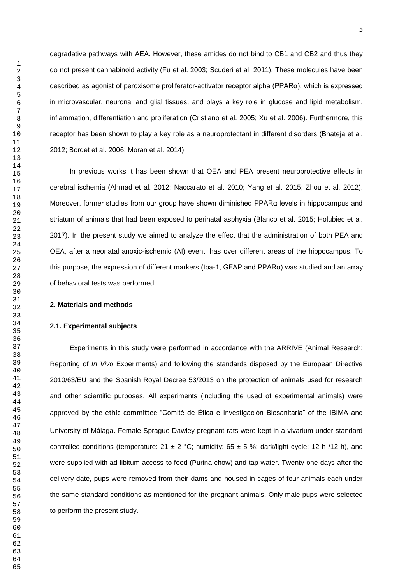degradative pathways with AEA. However, these amides do not bind to CB1 and CB2 and thus they do not present cannabinoid activity (Fu et al. 2003; Scuderi et al. 2011). These molecules have been described as agonist of peroxisome proliferator-activator receptor alpha (PPARα), which is expressed in microvascular, neuronal and glial tissues, and plays a key role in glucose and lipid metabolism, inflammation, differentiation and proliferation (Cristiano et al. 2005; Xu et al. 2006). Furthermore, this receptor has been shown to play a key role as a neuroprotectant in different disorders (Bhateja et al. 2012; Bordet et al. 2006; Moran et al. 2014).

In previous works it has been shown that OEA and PEA present neuroprotective effects in cerebral ischemia (Ahmad et al. 2012; Naccarato et al. 2010; Yang et al. 2015; Zhou et al. 2012). Moreover, former studies from our group have shown diminished PPARα levels in hippocampus and striatum of animals that had been exposed to perinatal asphyxia (Blanco et al. 2015; Holubiec et al. 2017). In the present study we aimed to analyze the effect that the administration of both PEA and OEA, after a neonatal anoxic-ischemic (AI) event, has over different areas of the hippocampus. To this purpose, the expression of different markers (Iba-1, GFAP and PPARα) was studied and an array of behavioral tests was performed.

## **2. Materials and methods**

### **2.1. Experimental subjects**

Experiments in this study were performed in accordance with the ARRIVE (Animal Research: Reporting of *In Vivo* Experiments) and following the standards disposed by the European Directive 2010/63/EU and the Spanish Royal Decree 53/2013 on the protection of animals used for research and other scientific purposes. All experiments (including the used of experimental animals) were approved by the ethic committee "Comité de Ética e Investigación Biosanitaria" of the IBIMA and University of Málaga. Female Sprague Dawley pregnant rats were kept in a vivarium under standard controlled conditions (temperature:  $21 \pm 2$  °C; humidity:  $65 \pm 5$  %; dark/light cycle: 12 h /12 h), and were supplied with ad libitum access to food (Purina chow) and tap water. Twenty-one days after the delivery date, pups were removed from their dams and housed in cages of four animals each under the same standard conditions as mentioned for the pregnant animals. Only male pups were selected to perform the present study.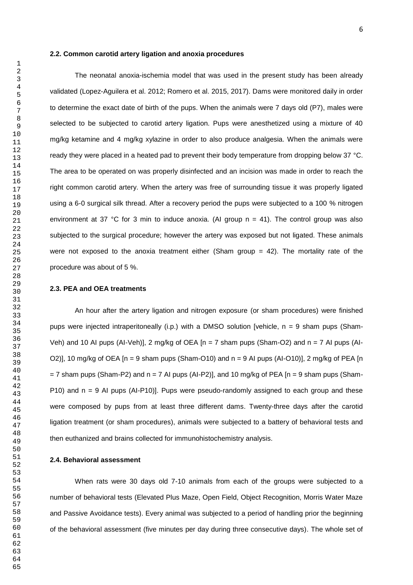### **2.2. Common carotid artery ligation and anoxia procedures**

The neonatal anoxia-ischemia model that was used in the present study has been already validated (Lopez-Aguilera et al. 2012; Romero et al. 2015, 2017). Dams were monitored daily in order to determine the exact date of birth of the pups. When the animals were 7 days old (P7), males were selected to be subjected to carotid artery ligation. Pups were anesthetized using a mixture of 40 mg/kg ketamine and 4 mg/kg xylazine in order to also produce analgesia. When the animals were ready they were placed in a heated pad to prevent their body temperature from dropping below 37 °C. The area to be operated on was properly disinfected and an incision was made in order to reach the right common carotid artery. When the artery was free of surrounding tissue it was properly ligated using a 6-0 surgical silk thread. After a recovery period the pups were subjected to a 100 % nitrogen environment at 37 °C for 3 min to induce anoxia. (AI group  $n = 41$ ). The control group was also subjected to the surgical procedure; however the artery was exposed but not ligated. These animals were not exposed to the anoxia treatment either (Sham group  $= 42$ ). The mortality rate of the procedure was about of 5 %.

## **2.3. PEA and OEA treatments**

An hour after the artery ligation and nitrogen exposure (or sham procedures) were finished pups were injected intraperitoneally (i.p.) with a DMSO solution [vehicle, n = 9 sham pups (Sham-Veh) and 10 AI pups (AI-Veh)], 2 mg/kg of OEA  $[n = 7 \text{ sham} \text{ pups}$  (Sham-O2) and  $n = 7 \text{ Al} \text{ pups}$  (AI-O2)], 10 mg/kg of OEA  $[n = 9 \text{ sham}$  pups (Sham-O10) and  $n = 9$  AI pups (AI-O10)], 2 mg/kg of PEA  $[n]$  $= 7$  sham pups (Sham-P2) and n = 7 AI pups (AI-P2)], and 10 mg/kg of PEA [n = 9 sham pups (Sham-P10) and n = 9 AI pups (AI-P10)]. Pups were pseudo-randomly assigned to each group and these were composed by pups from at least three different dams. Twenty-three days after the carotid ligation treatment (or sham procedures), animals were subjected to a battery of behavioral tests and then euthanized and brains collected for immunohistochemistry analysis.

## **2.4. Behavioral assessment**

When rats were 30 days old 7-10 animals from each of the groups were subjected to a number of behavioral tests (Elevated Plus Maze, Open Field, Object Recognition, Morris Water Maze and Passive Avoidance tests). Every animal was subjected to a period of handling prior the beginning of the behavioral assessment (five minutes per day during three consecutive days). The whole set of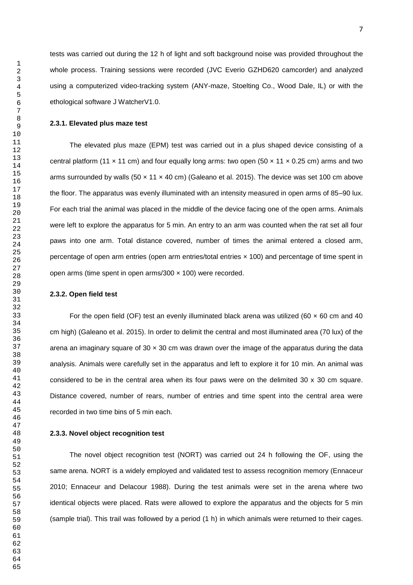tests was carried out during the 12 h of light and soft background noise was provided throughout the whole process. Training sessions were recorded (JVC Everio GZHD620 camcorder) and analyzed using a computerized video-tracking system (ANY-maze, Stoelting Co., Wood Dale, IL) or with the ethological software J WatcherV1.0.

## **2.3.1. Elevated plus maze test**

The elevated plus maze (EPM) test was carried out in a plus shaped device consisting of a central platform (11  $\times$  11 cm) and four equally long arms: two open (50  $\times$  11  $\times$  0.25 cm) arms and two arms surrounded by walls (50  $\times$  11  $\times$  40 cm) (Galeano et al. 2015). The device was set 100 cm above the floor. The apparatus was evenly illuminated with an intensity measured in open arms of 85–90 lux. For each trial the animal was placed in the middle of the device facing one of the open arms. Animals were left to explore the apparatus for 5 min. An entry to an arm was counted when the rat set all four paws into one arm. Total distance covered, number of times the animal entered a closed arm, percentage of open arm entries (open arm entries/total entries × 100) and percentage of time spent in open arms (time spent in open arms/300 × 100) were recorded.

## **2.3.2. Open field test**

For the open field (OF) test an evenly illuminated black arena was utilized (60  $\times$  60 cm and 40 cm high) (Galeano et al. 2015). In order to delimit the central and most illuminated area (70 lux) of the arena an imaginary square of  $30 \times 30$  cm was drawn over the image of the apparatus during the data analysis. Animals were carefully set in the apparatus and left to explore it for 10 min. An animal was considered to be in the central area when its four paws were on the delimited 30 x 30 cm square. Distance covered, number of rears, number of entries and time spent into the central area were recorded in two time bins of 5 min each.

## **2.3.3. Novel object recognition test**

The novel object recognition test (NORT) was carried out 24 h following the OF, using the same arena. NORT is a widely employed and validated test to assess recognition memory (Ennaceur 2010; Ennaceur and Delacour 1988). During the test animals were set in the arena where two identical objects were placed. Rats were allowed to explore the apparatus and the objects for 5 min (sample trial). This trail was followed by a period (1 h) in which animals were returned to their cages.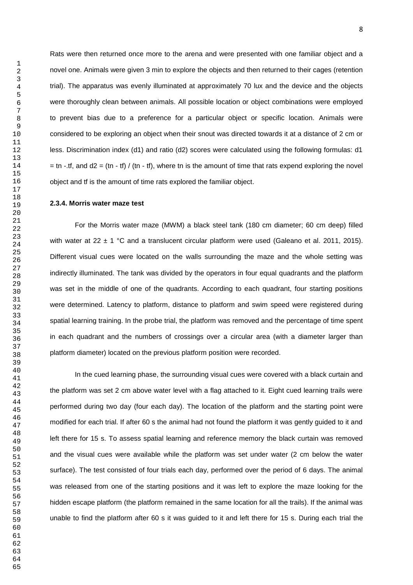Rats were then returned once more to the arena and were presented with one familiar object and a novel one. Animals were given 3 min to explore the objects and then returned to their cages (retention trial). The apparatus was evenly illuminated at approximately 70 lux and the device and the objects were thoroughly clean between animals. All possible location or object combinations were employed to prevent bias due to a preference for a particular object or specific location. Animals were considered to be exploring an object when their snout was directed towards it at a distance of 2 cm or less. Discrimination index (d1) and ratio (d2) scores were calculated using the following formulas: d1  $=$  tn -.tf, and d2  $=$  (tn - tf) / (tn - tf), where tn is the amount of time that rats expend exploring the novel object and tf is the amount of time rats explored the familiar object.

#### **2.3.4. Morris water maze test**

For the Morris water maze (MWM) a black steel tank (180 cm diameter; 60 cm deep) filled with water at 22  $\pm$  1 °C and a translucent circular platform were used (Galeano et al. 2011, 2015). Different visual cues were located on the walls surrounding the maze and the whole setting was indirectly illuminated. The tank was divided by the operators in four equal quadrants and the platform was set in the middle of one of the quadrants. According to each quadrant, four starting positions were determined. Latency to platform, distance to platform and swim speed were registered during spatial learning training. In the probe trial, the platform was removed and the percentage of time spent in each quadrant and the numbers of crossings over a circular area (with a diameter larger than platform diameter) located on the previous platform position were recorded.

In the cued learning phase, the surrounding visual cues were covered with a black curtain and the platform was set 2 cm above water level with a flag attached to it. Eight cued learning trails were performed during two day (four each day). The location of the platform and the starting point were modified for each trial. If after 60 s the animal had not found the platform it was gently guided to it and left there for 15 s. To assess spatial learning and reference memory the black curtain was removed and the visual cues were available while the platform was set under water (2 cm below the water surface). The test consisted of four trials each day, performed over the period of 6 days. The animal was released from one of the starting positions and it was left to explore the maze looking for the hidden escape platform (the platform remained in the same location for all the trails). If the animal was unable to find the platform after 60 s it was guided to it and left there for 15 s. During each trial the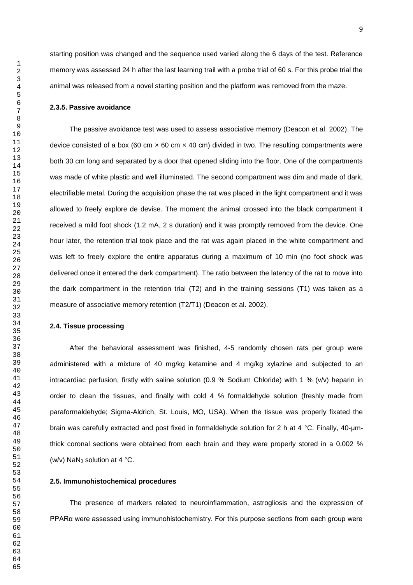starting position was changed and the sequence used varied along the 6 days of the test. Reference memory was assessed 24 h after the last learning trail with a probe trial of 60 s. For this probe trial the animal was released from a novel starting position and the platform was removed from the maze.

## **2.3.5. Passive avoidance**

The passive avoidance test was used to assess associative memory (Deacon et al. 2002). The device consisted of a box (60 cm  $\times$  60 cm  $\times$  40 cm) divided in two. The resulting compartments were both 30 cm long and separated by a door that opened sliding into the floor. One of the compartments was made of white plastic and well illuminated. The second compartment was dim and made of dark, electrifiable metal. During the acquisition phase the rat was placed in the light compartment and it was allowed to freely explore de devise. The moment the animal crossed into the black compartment it received a mild foot shock (1.2 mA, 2 s duration) and it was promptly removed from the device. One hour later, the retention trial took place and the rat was again placed in the white compartment and was left to freely explore the entire apparatus during a maximum of 10 min (no foot shock was delivered once it entered the dark compartment). The ratio between the latency of the rat to move into the dark compartment in the retention trial (T2) and in the training sessions (T1) was taken as a measure of associative memory retention (T2/T1) (Deacon et al. 2002).

## **2.4. Tissue processing**

After the behavioral assessment was finished, 4-5 randomly chosen rats per group were administered with a mixture of 40 mg/kg ketamine and 4 mg/kg xylazine and subjected to an intracardiac perfusion, firstly with saline solution (0.9 % Sodium Chloride) with 1 % (v/v) heparin in order to clean the tissues, and finally with cold 4 % formaldehyde solution (freshly made from paraformaldehyde; Sigma-Aldrich, St. Louis, MO, USA). When the tissue was properly fixated the brain was carefully extracted and post fixed in formaldehyde solution for 2 h at 4 °C. Finally, 40-μmthick coronal sections were obtained from each brain and they were properly stored in a 0.002 % (w/v) NaN<sup>3</sup> solution at 4 °C.

## **2.5. Immunohistochemical procedures**

The presence of markers related to neuroinflammation, astrogliosis and the expression of PPARα were assessed using immunohistochemistry. For this purpose sections from each group were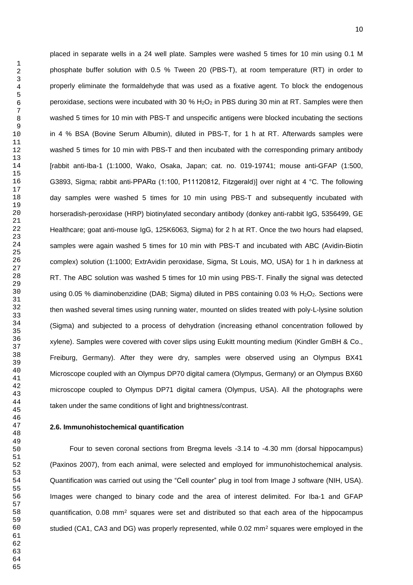placed in separate wells in a 24 well plate. Samples were washed 5 times for 10 min using 0.1 M phosphate buffer solution with 0.5 % Tween 20 (PBS-T), at room temperature (RT) in order to properly eliminate the formaldehyde that was used as a fixative agent. To block the endogenous peroxidase, sections were incubated with 30 %  $H_2O_2$  in PBS during 30 min at RT. Samples were then washed 5 times for 10 min with PBS-T and unspecific antigens were blocked incubating the sections in 4 % BSA (Bovine Serum Albumin), diluted in PBS-T, for 1 h at RT. Afterwards samples were washed 5 times for 10 min with PBS-T and then incubated with the corresponding primary antibody [rabbit anti-Iba-1 (1:1000, Wako, Osaka, Japan; cat. no. 019-19741; mouse anti-GFAP (1:500, G3893, Sigma; rabbit anti-PPARα (1:100, P11120812, Fitzgerald)] over night at 4 °C. The following day samples were washed 5 times for 10 min using PBS-T and subsequently incubated with horseradish-peroxidase (HRP) biotinylated secondary antibody (donkey anti-rabbit IgG, 5356499, GE Healthcare; goat anti-mouse IgG, 125K6063, Sigma) for 2 h at RT. Once the two hours had elapsed, samples were again washed 5 times for 10 min with PBS-T and incubated with ABC (Avidin-Biotin complex) solution (1:1000; ExtrAvidin peroxidase, Sigma, St Louis, MO, USA) for 1 h in darkness at RT. The ABC solution was washed 5 times for 10 min using PBS-T. Finally the signal was detected using 0.05 % diaminobenzidine (DAB; Sigma) diluted in PBS containing 0.03 % H<sub>2</sub>O<sub>2</sub>. Sections were then washed several times using running water, mounted on slides treated with poly-L-lysine solution (Sigma) and subjected to a process of dehydration (increasing ethanol concentration followed by xylene). Samples were covered with cover slips using Eukitt mounting medium (Kindler GmBH & Co., Freiburg, Germany). After they were dry, samples were observed using an Olympus BX41 Microscope coupled with an Olympus DP70 digital camera (Olympus, Germany) or an Olympus BX60 microscope coupled to Olympus DP71 digital camera (Olympus, USA). All the photographs were taken under the same conditions of light and brightness/contrast.

## **2.6. Immunohistochemical quantification**

Four to seven coronal sections from Bregma levels -3.14 to -4.30 mm (dorsal hippocampus) (Paxinos 2007), from each animal, were selected and employed for immunohistochemical analysis. Quantification was carried out using the "Cell counter" plug in tool from Image J software (NIH, USA). Images were changed to binary code and the area of interest delimited. For Iba-1 and GFAP quantification, 0.08 mm<sup>2</sup> squares were set and distributed so that each area of the hippocampus studied (CA1, CA3 and DG) was properly represented, while 0.02 mm<sup>2</sup> squares were employed in the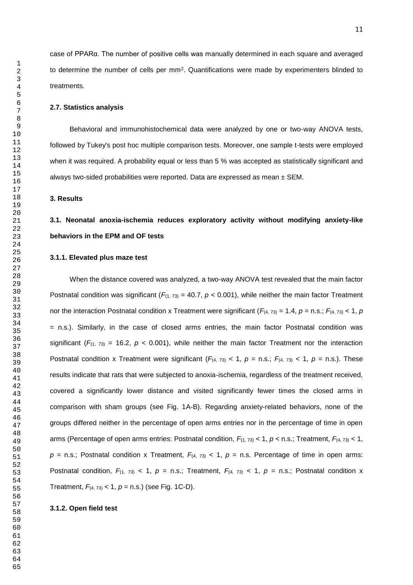case of PPARα. The number of positive cells was manually determined in each square and averaged to determine the number of cells per mm<sup>2</sup>. Quantifications were made by experimenters blinded to treatments.

#### **2.7. Statistics analysis**

Behavioral and immunohistochemical data were analyzed by one or two-way ANOVA tests, followed by Tukey's post hoc multiple comparison tests. Moreover, one sample t-tests were employed when it was required. A probability equal or less than 5 % was accepted as statistically significant and always two-sided probabilities were reported. Data are expressed as mean  $\pm$  SEM.

#### **3. Results**

# **3.1. Neonatal anoxia-ischemia reduces exploratory activity without modifying anxiety-like behaviors in the EPM and OF tests**

## **3.1.1. Elevated plus maze test**

When the distance covered was analyzed, a two-way ANOVA test revealed that the main factor Postnatal condition was significant ( $F_{(1, 73)} = 40.7$ ,  $p < 0.001$ ), while neither the main factor Treatment nor the interaction Postnatal condition x Treatment were significant  $(F_{(4, 73)} = 1.4, p = n.s.; F_{(4, 73)} < 1, p$ = n.s.). Similarly, in the case of closed arms entries, the main factor Postnatal condition was significant ( $F_{(1, 73)} = 16.2$ ,  $p < 0.001$ ), while neither the main factor Treatment nor the interaction Postnatal condition x Treatment were significant  $(F_{(4, 73)} < 1, p = n.s.; F_{(4, 73)} < 1, p = n.s.).$  These results indicate that rats that were subjected to anoxia-ischemia, regardless of the treatment received, covered a significantly lower distance and visited significantly fewer times the closed arms in comparison with sham groups (see Fig. 1A-B). Regarding anxiety-related behaviors, none of the groups differed neither in the percentage of open arms entries nor in the percentage of time in open arms (Percentage of open arms entries: Postnatal condition,  $F_{(1, 73)}$  < 1,  $p$  < n.s.; Treatment,  $F_{(4, 73)}$  < 1,  $p =$  n.s.; Postnatal condition x Treatment,  $F_{(4, 73)}$  < 1,  $p =$  n.s. Percentage of time in open arms: Postnatal condition,  $F_{(1, 73)}$  < 1,  $p =$  n.s.; Treatment,  $F_{(4, 73)}$  < 1,  $p =$  n.s.; Postnatal condition x Treatment,  $F_{(4, 73)} < 1$ ,  $p = n.s$ .) (see Fig. 1C-D).

#### **3.1.2. Open field test**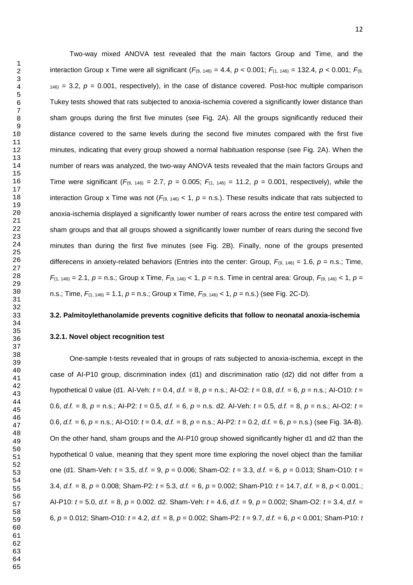Two-way mixed ANOVA test revealed that the main factors Group and Time, and the interaction Group x Time were all significant  $(F_{(9, 146)} = 4.4, p < 0.001; F_{(1, 146)} = 132.4, p < 0.001; F_{(9, 146)} = 132.4$ ) = 3.2,  $p = 0.001$ , respectively), in the case of distance covered. Post-hoc multiple comparison Tukey tests showed that rats subjected to anoxia-ischemia covered a significantly lower distance than sham groups during the first five minutes (see Fig. 2A). All the groups significantly reduced their distance covered to the same levels during the second five minutes compared with the first five minutes, indicating that every group showed a normal habituation response (see Fig. 2A). When the number of rears was analyzed, the two-way ANOVA tests revealed that the main factors Groups and Time were significant ( $F_{(9, 146)} = 2.7$ ,  $p = 0.005$ ;  $F_{(1, 146)} = 11.2$ ,  $p = 0.001$ , respectively), while the

interaction Group x Time was not ( $F_{(9, 146)}$  < 1,  $p =$  n.s.). These results indicate that rats subjected to anoxia-ischemia displayed a significantly lower number of rears across the entire test compared with sham groups and that all groups showed a significantly lower number of rears during the second five minutes than during the first five minutes (see Fig. 2B). Finally, none of the groups presented differecens in anxiety-related behaviors (Entries into the center: Group,  $F_{(9, 146)} = 1.6$ ,  $p = n.s.$ ; Time, *F*(1, 146) = 2.1, *p* = n.s.; Group x Time, *F*(9, 146) < 1, *p* = n.s. Time in central area: Group, *F*(9, 146) < 1, *p* = n.s.; Time, *F*(1, 146) = 1.1, *p* = n.s.; Group x Time, *F*(9, 146) < 1, *p* = n.s.) (see Fig. 2C-D).

## **3.2. Palmitoylethanolamide prevents cognitive deficits that follow to neonatal anoxia-ischemia**

## **3.2.1. Novel object recognition test**

One-sample t-tests revealed that in groups of rats subjected to anoxia-ischemia, except in the case of AI-P10 group, discrimination index (d1) and discrimination ratio (d2) did not differ from a hypothetical 0 value (d1. AI-Veh: *t* = 0.4, *d.f.* = 8, *p* = n.s.; AI-O2: *t* = 0.8, *d.f.* = 6, *p* = n.s.; AI-O10: *t* = 0.6, *d.f.* = 8, *p* = n.s.; AI-P2: *t* = 0.5, *d.f.* = 6, *p* = n.s. d2. AI-Veh: *t* = 0.5, *d.f.* = 8, *p* = n.s.; AI-O2: *t* = 0.6, *d.f.* = 6, *p* = n.s.; AI-O10: *t* = 0.4, *d.f.* = 8, *p* = n.s.; AI-P2: *t* = 0.2, *d.f.* = 6, *p* = n.s.) (see Fig. 3A-B). On the other hand, sham groups and the AI-P10 group showed significantly higher d1 and d2 than the hypothetical 0 value, meaning that they spent more time exploring the novel object than the familiar one (d1. Sham-Veh: *t* = 3.5, *d.f.* = 9, *p* = 0.006; Sham-O2: *t* = 3.3, *d.f.* = 6, *p* = 0.013; Sham-O10: *t* = 3.4, *d.f.* = 8, *p* = 0.008; Sham-P2: *t* = 5.3, *d.f.* = 6, *p* = 0.002; Sham-P10: *t* = 14.7, *d.f.* = 8, *p* < 0.001.; AI-P10: *t* = 5.0, *d.f.* = 8, *p* = 0.002. d2. Sham-Veh: *t* = 4.6, *d.f.* = 9, *p* = 0.002; Sham-O2: *t* = 3.4, *d.f.* = 6, *p* = 0.012; Sham-O10: *t* = 4.2, *d.f.* = 8, *p* = 0.002; Sham-P2: *t* = 9.7, *d.f.* = 6, *p* < 0.001; Sham-P10: *t*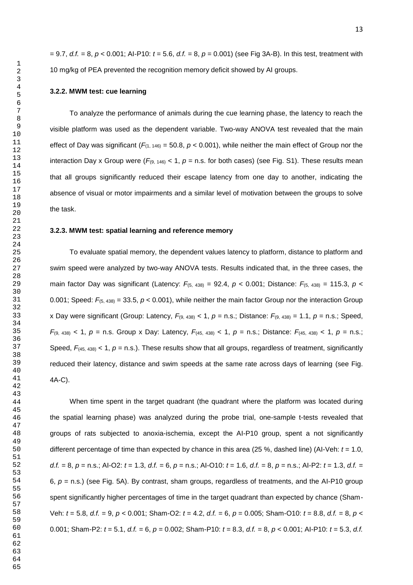= 9.7, *d.f.* = 8, *p* < 0.001; AI-P10: *t* = 5.6, *d.f.* = 8, *p* = 0.001) (see Fig 3A-B). In this test, treatment with 10 mg/kg of PEA prevented the recognition memory deficit showed by AI groups.

## **3.2.2. MWM test: cue learning**

To analyze the performance of animals during the cue learning phase, the latency to reach the visible platform was used as the dependent variable. Two-way ANOVA test revealed that the main effect of Day was significant  $(F_{(1, 146)} = 50.8, p < 0.001)$ , while neither the main effect of Group nor the interaction Day x Group were  $(F_{(9, 146)} < 1, p = n.s.$  for both cases) (see Fig. S1). These results mean that all groups significantly reduced their escape latency from one day to another, indicating the absence of visual or motor impairments and a similar level of motivation between the groups to solve the task.

## **3.2.3. MWM test: spatial learning and reference memory**

To evaluate spatial memory, the dependent values latency to platform, distance to platform and swim speed were analyzed by two-way ANOVA tests. Results indicated that, in the three cases, the main factor Day was significant (Latency:  $F_{(5, 438)} = 92.4$ ,  $p < 0.001$ ; Distance:  $F_{(5, 438)} = 115.3$ ,  $p <$ 0.001; Speed:  $F_{(5, 438)} = 33.5$ ,  $p < 0.001$ ), while neither the main factor Group nor the interaction Group x Day were significant (Group: Latency,  $F_{(9, 438)} < 1$ ,  $p =$  n.s.; Distance:  $F_{(9, 438)} = 1.1$ ,  $p =$  n.s.; Speed, *F*(9, 438) < 1, *p* = n.s. Group x Day: Latency, *F*(45, 438) < 1, *p* = n.s.; Distance: *F*(45, 438) < 1, *p* = n.s.; Speed,  $F$ <sub>(45, 438)</sub> < 1,  $p$  = n.s.). These results show that all groups, regardless of treatment, significantly reduced their latency, distance and swim speeds at the same rate across days of learning (see Fig. 4A-C).

When time spent in the target quadrant (the quadrant where the platform was located during the spatial learning phase) was analyzed during the probe trial, one-sample t-tests revealed that groups of rats subjected to anoxia-ischemia, except the AI-P10 group, spent a not significantly different percentage of time than expected by chance in this area (25 %, dashed line) (AI-Veh: *t* = 1.0, *d.f.* = 8, *p* = n.s.; AI-O2: *t* = 1.3, *d.f.* = 6, *p* = n.s.; AI-O10: *t* = 1.6, *d.f.* = 8, *p* = n.s.; AI-P2: *t* = 1.3, *d.f.* = 6, *p* = n.s.) (see Fig. 5A). By contrast, sham groups, regardless of treatments, and the AI-P10 group spent significantly higher percentages of time in the target quadrant than expected by chance (Sham-Veh: *t* = 5.8, *d.f.* = 9, *p* < 0.001; Sham-O2: *t* = 4.2, *d.f.* = 6, *p* = 0.005; Sham-O10: *t* = 8.8, *d.f.* = 8, *p* < 0.001; Sham-P2: *t* = 5.1, *d.f.* = 6, *p* = 0.002; Sham-P10: *t* = 8.3, *d.f.* = 8, *p* < 0.001; AI-P10: *t* = 5.3, *d.f.*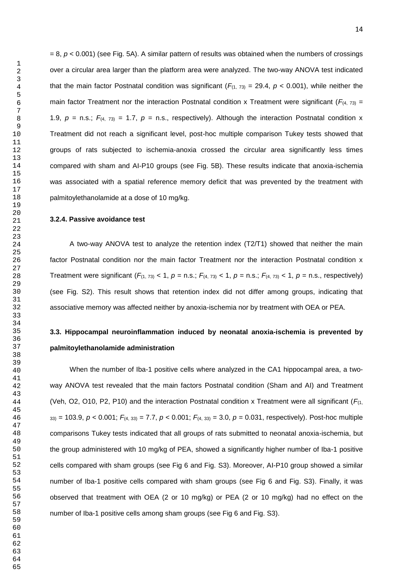$= 8$ ,  $p < 0.001$ ) (see Fig. 5A). A similar pattern of results was obtained when the numbers of crossings over a circular area larger than the platform area were analyzed. The two-way ANOVA test indicated that the main factor Postnatal condition was significant  $(F_{(1, 73)} = 29.4, p < 0.001)$ , while neither the main factor Treatment nor the interaction Postnatal condition x Treatment were significant ( $F_{(4, 73)}$  = 1.9,  $p =$  n.s.;  $F_{(4, 73)} = 1.7$ ,  $p =$  n.s., respectively). Although the interaction Postnatal condition x Treatment did not reach a significant level, post-hoc multiple comparison Tukey tests showed that groups of rats subjected to ischemia-anoxia crossed the circular area significantly less times compared with sham and AI-P10 groups (see Fig. 5B). These results indicate that anoxia-ischemia was associated with a spatial reference memory deficit that was prevented by the treatment with palmitoylethanolamide at a dose of 10 mg/kg.

## **3.2.4. Passive avoidance test**

A two-way ANOVA test to analyze the retention index (T2/T1) showed that neither the main factor Postnatal condition nor the main factor Treatment nor the interaction Postnatal condition x Treatment were significant  $(F_{(1, 73)} < 1, p = \text{n.s.}; F_{(4, 73)} < 1, p = \text{n.s.}; F_{(4, 73)} < 1, p = \text{n.s.};$  respectively) (see Fig. S2). This result shows that retention index did not differ among groups, indicating that associative memory was affected neither by anoxia-ischemia nor by treatment with OEA or PEA.

# **3.3. Hippocampal neuroinflammation induced by neonatal anoxia-ischemia is prevented by palmitoylethanolamide administration**

When the number of Iba-1 positive cells where analyzed in the CA1 hippocampal area, a twoway ANOVA test revealed that the main factors Postnatal condition (Sham and AI) and Treatment (Veh, O2, O10, P2, P10) and the interaction Postnatal condition x Treatment were all significant ( $F_{(1)}$ ) 33) = 103.9, *p* < 0.001; *F*(4, 33) = 7.7, *p* < 0.001; *F*(4, 33) = 3.0, *p* = 0.031, respectively). Post-hoc multiple comparisons Tukey tests indicated that all groups of rats submitted to neonatal anoxia-ischemia, but the group administered with 10 mg/kg of PEA, showed a significantly higher number of Iba-1 positive cells compared with sham groups (see Fig 6 and Fig. S3). Moreover, AI-P10 group showed a similar number of Iba-1 positive cells compared with sham groups (see Fig 6 and Fig. S3). Finally, it was observed that treatment with OEA (2 or 10 mg/kg) or PEA (2 or 10 mg/kg) had no effect on the number of Iba-1 positive cells among sham groups (see Fig 6 and Fig. S3).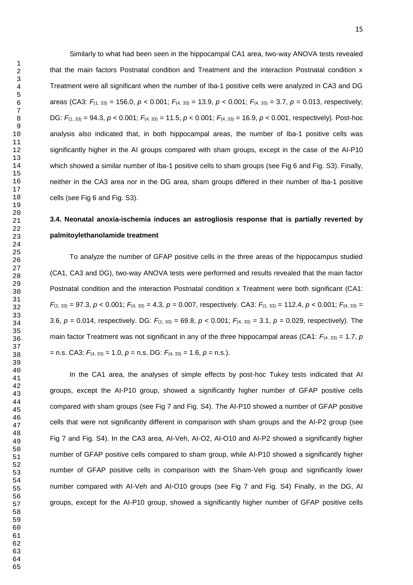Similarly to what had been seen in the hippocampal CA1 area, two-way ANOVA tests revealed that the main factors Postnatal condition and Treatment and the interaction Postnatal condition x Treatment were all significant when the number of Iba-1 positive cells were analyzed in CA3 and DG areas (CA3: *F*(1, 33) = 156.0, *p* < 0.001; *F*(4, 33) = 13.9, *p* < 0.001; *F*(4, 33) = 3.7, *p* = 0.013, respectively; DG: *F*(1, 33) = 94.3, *p* < 0.001; *F*(4, 33) = 11.5, *p* < 0.001; *F*(4, 33) = 16.9, *p* < 0.001, respectively). Post-hoc analysis also indicated that, in both hippocampal areas, the number of Iba-1 positive cells was significantly higher in the AI groups compared with sham groups, except in the case of the AI-P10 which showed a similar number of Iba-1 positive cells to sham groups (see Fig 6 and Fig. S3). Finally, neither in the CA3 area nor in the DG area, sham groups differed in their number of Iba-1 positive cells (see Fig 6 and Fig. S3).

# **3.4. Neonatal anoxia-ischemia induces an astrogliosis response that is partially reverted by palmitoylethanolamide treatment**

To analyze the number of GFAP positive cells in the three areas of the hippocampus studied (CA1, CA3 and DG), two-way ANOVA tests were performed and results revealed that the main factor Postnatal condition and the interaction Postnatal condition x Treatment were both significant (CA1: *F*(1, 33) = 97.3, *p* < 0.001; *F*(4, 33) = 4.3, *p* = 0.007, respectively. CA3: *F*(1, 33) = 112.4, *p* < 0.001; *F*(4, 33) = 3.6, *p* = 0.014, respectively. DG: *F*(1, 33) = 69.8, *p* < 0.001; *F*(4, 33) = 3.1, *p* = 0.029, respectively). The main factor Treatment was not significant in any of the three hippocampal areas (CA1:  $F_{(4, 33)} = 1.7$ , *p* = n.s. CA3: *F*(4, 33) = 1.0, *p* = n.s. DG: *F*(4, 33) = 1.6, *p* = n.s.).

In the CA1 area, the analyses of simple effects by post-hoc Tukey tests indicated that AI groups, except the AI-P10 group, showed a significantly higher number of GFAP positive cells compared with sham groups (see Fig 7 and Fig. S4). The AI-P10 showed a number of GFAP positive cells that were not significantly different in comparison with sham groups and the AI-P2 group (see Fig 7 and Fig. S4). In the CA3 area, AI-Veh, AI-O2, AI-O10 and AI-P2 showed a significantly higher number of GFAP positive cells compared to sham group, while AI-P10 showed a significantly higher number of GFAP positive cells in comparison with the Sham-Veh group and significantly lower number compared with AI-Veh and AI-O10 groups (see Fig 7 and Fig. S4) Finally, in the DG, AI groups, except for the AI-P10 group, showed a significantly higher number of GFAP positive cells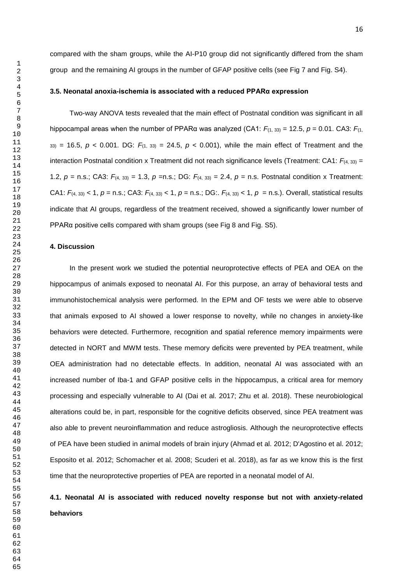compared with the sham groups, while the AI-P10 group did not significantly differed from the sham group and the remaining AI groups in the number of GFAP positive cells (see Fig 7 and Fig. S4).

#### **3.5. Neonatal anoxia-ischemia is associated with a reduced PPARα expression**

Two-way ANOVA tests revealed that the main effect of Postnatal condition was significant in all hippocampal areas when the number of PPARα was analyzed (CA1:  $F_{(1, 33)} = 12.5$ ,  $p = 0.01$ . CA3:  $F_{(1, 13)}$ ) = 16.5,  $p < 0.001$ . DG:  $F_{(1, 33)} = 24.5$ ,  $p < 0.001$ ), while the main effect of Treatment and the interaction Postnatal condition x Treatment did not reach significance levels (Treatment: CA1:  $F_{(4, 33)} =$ 1.2, *p* = n.s.; CA3: *F*(4, 33) = 1.3, *p* =n.s.; DG: *F*(4, 33) = 2.4, *p* = n.s. Postnatal condition x Treatment: CA1: *F*(4, 33) < 1, *p* = n.s.; CA3: *F*(4, 33) < 1, *p* = n.s.; DG:. *F*(4, 33) < 1, *p* = n.s.). Overall, statistical results indicate that AI groups, regardless of the treatment received, showed a significantly lower number of PPARα positive cells compared with sham groups (see Fig 8 and Fig. S5).

## **4. Discussion**

In the present work we studied the potential neuroprotective effects of PEA and OEA on the hippocampus of animals exposed to neonatal AI. For this purpose, an array of behavioral tests and immunohistochemical analysis were performed. In the EPM and OF tests we were able to observe that animals exposed to AI showed a lower response to novelty, while no changes in anxiety-like behaviors were detected. Furthermore, recognition and spatial reference memory impairments were detected in NORT and MWM tests. These memory deficits were prevented by PEA treatment, while OEA administration had no detectable effects. In addition, neonatal AI was associated with an increased number of Iba-1 and GFAP positive cells in the hippocampus, a critical area for memory processing and especially vulnerable to AI (Dai et al. 2017; Zhu et al. 2018). These neurobiological alterations could be, in part, responsible for the cognitive deficits observed, since PEA treatment was also able to prevent neuroinflammation and reduce astrogliosis. Although the neuroprotective effects of PEA have been studied in animal models of brain injury (Ahmad et al. 2012; D'Agostino et al. 2012; Esposito et al. 2012; Schomacher et al. 2008; Scuderi et al. 2018), as far as we know this is the first time that the neuroprotective properties of PEA are reported in a neonatal model of AI.

# **4.1. Neonatal AI is associated with reduced novelty response but not with anxiety-related behaviors**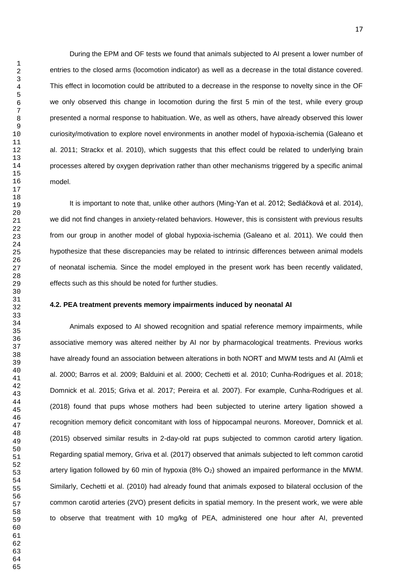During the EPM and OF tests we found that animals subjected to AI present a lower number of entries to the closed arms (locomotion indicator) as well as a decrease in the total distance covered. This effect in locomotion could be attributed to a decrease in the response to novelty since in the OF we only observed this change in locomotion during the first 5 min of the test, while every group presented a normal response to habituation. We, as well as others, have already observed this lower

curiosity/motivation to explore novel environments in another model of hypoxia-ischemia (Galeano et al. 2011; Strackx et al. 2010), which suggests that this effect could be related to underlying brain processes altered by oxygen deprivation rather than other mechanisms triggered by a specific animal model.

It is important to note that, unlike other authors (Ming-Yan et al. 2012; Sedláčková et al. 2014), we did not find changes in anxiety-related behaviors. However, this is consistent with previous results from our group in another model of global hypoxia-ischemia (Galeano et al. 2011). We could then hypothesize that these discrepancies may be related to intrinsic differences between animal models of neonatal ischemia. Since the model employed in the present work has been recently validated, effects such as this should be noted for further studies.

## **4.2. PEA treatment prevents memory impairments induced by neonatal AI**

Animals exposed to AI showed recognition and spatial reference memory impairments, while associative memory was altered neither by AI nor by pharmacological treatments. Previous works have already found an association between alterations in both NORT and MWM tests and AI (Almli et al. 2000; Barros et al. 2009; Balduini et al. 2000; Cechetti et al. 2010; Cunha-Rodrigues et al. 2018; Domnick et al. 2015; Griva et al. 2017; Pereira et al. 2007). For example, Cunha-Rodrigues et al. (2018) found that pups whose mothers had been subjected to uterine artery ligation showed a recognition memory deficit concomitant with loss of hippocampal neurons. Moreover, Domnick et al. (2015) observed similar results in 2-day-old rat pups subjected to common carotid artery ligation. Regarding spatial memory, Griva et al. (2017) observed that animals subjected to left common carotid artery ligation followed by 60 min of hypoxia  $(8\% O_2)$  showed an impaired performance in the MWM. Similarly, Cechetti et al. (2010) had already found that animals exposed to bilateral occlusion of the common carotid arteries (2VO) present deficits in spatial memory. In the present work, we were able to observe that treatment with 10 mg/kg of PEA, administered one hour after AI, prevented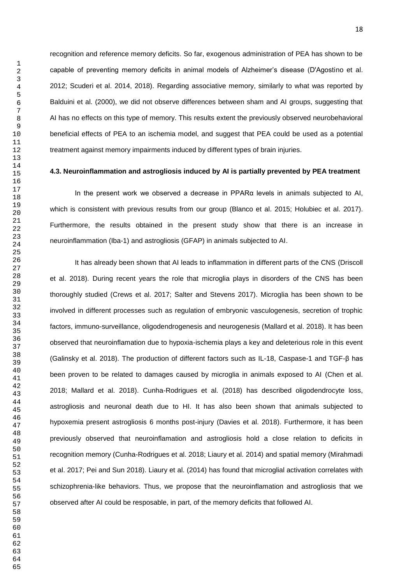recognition and reference memory deficits. So far, exogenous administration of PEA has shown to be capable of preventing memory deficits in animal models of Alzheimer's disease (D'Agostino et al. 2012; Scuderi et al. 2014, 2018). Regarding associative memory, similarly to what was reported by Balduini et al. (2000), we did not observe differences between sham and AI groups, suggesting that AI has no effects on this type of memory. This results extent the previously observed neurobehavioral beneficial effects of PEA to an ischemia model, and suggest that PEA could be used as a potential treatment against memory impairments induced by different types of brain injuries.

## **4.3. Neuroinflammation and astrogliosis induced by AI is partially prevented by PEA treatment**

In the present work we observed a decrease in PPARα levels in animals subjected to AI, which is consistent with previous results from our group (Blanco et al. 2015; Holubiec et al. 2017). Furthermore, the results obtained in the present study show that there is an increase in neuroinflammation (Iba-1) and astrogliosis (GFAP) in animals subjected to AI.

It has already been shown that AI leads to inflammation in different parts of the CNS (Driscoll et al. 2018). During recent years the role that microglia plays in disorders of the CNS has been thoroughly studied (Crews et al. 2017; Salter and Stevens 2017). Microglia has been shown to be involved in different processes such as regulation of embryonic vasculogenesis, secretion of trophic factors, immuno-surveillance, oligodendrogenesis and neurogenesis (Mallard et al. 2018). It has been observed that neuroinflamation due to hypoxia-ischemia plays a key and deleterious role in this event (Galinsky et al. 2018). The production of different factors such as IL-18, Caspase-1 and TGF-β has been proven to be related to damages caused by microglia in animals exposed to AI (Chen et al. 2018; Mallard et al. 2018). Cunha-Rodrigues et al. (2018) has described oligodendrocyte loss, astrogliosis and neuronal death due to HI. It has also been shown that animals subjected to hypoxemia present astrogliosis 6 months post-injury (Davies et al. 2018). Furthermore, it has been previously observed that neuroinflamation and astrogliosis hold a close relation to deficits in recognition memory (Cunha-Rodrigues et al. 2018; Liaury et al. 2014) and spatial memory (Mirahmadi et al. 2017; Pei and Sun 2018). Liaury et al. (2014) has found that microglial activation correlates with schizophrenia-like behaviors. Thus, we propose that the neuroinflamation and astrogliosis that we observed after AI could be resposable, in part, of the memory deficits that followed AI.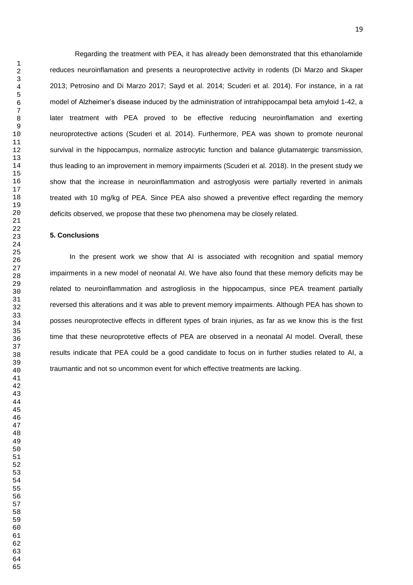Regarding the treatment with PEA, it has already been demonstrated that this ethanolamide reduces neuroinflamation and presents a neuroprotective activity in rodents (Di Marzo and Skaper 2013; Petrosino and Di Marzo 2017; Sayd et al. 2014; Scuderi et al. 2014). For instance, in a rat model of Alzheimer's disease induced by the administration of intrahippocampal beta amyloid 1-42, a later treatment with PEA proved to be effective reducing neuroinflamation and exerting neuroprotective actions (Scuderi et al. 2014). Furthermore, PEA was shown to promote neuronal survival in the hippocampus, normalize astrocytic function and balance glutamatergic transmission, thus leading to an improvement in memory impairments (Scuderi et al. 2018). In the present study we show that the increase in neuroinflammation and astroglyosis were partially reverted in animals treated with 10 mg/kg of PEA. Since PEA also showed a preventive effect regarding the memory deficits observed, we propose that these two phenomena may be closely related.

## **5. Conclusions**

In the present work we show that AI is associated with recognition and spatial memory impairments in a new model of neonatal AI. We have also found that these memory deficits may be related to neuroinflammation and astrogliosis in the hippocampus, since PEA treament partially reversed this alterations and it was able to prevent memory impairments. Although PEA has shown to posses neuroprotective effects in different types of brain injuries, as far as we know this is the first time that these neuroprotetive effects of PEA are observed in a neonatal AI model. Overall, these results indicate that PEA could be a good candidate to focus on in further studies related to AI, a traumantic and not so uncommon event for which effective treatments are lacking.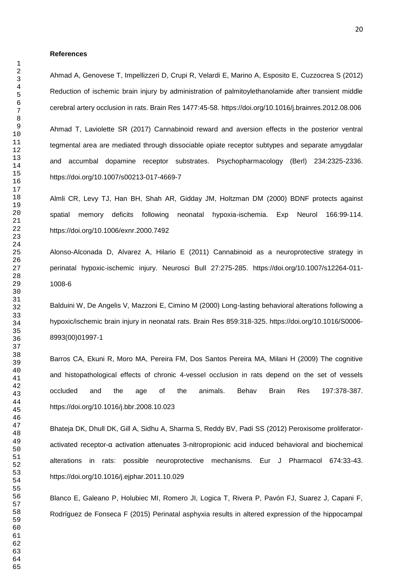#### **References**

Ahmad A, Genovese T, Impellizzeri D, Crupi R, Velardi E, Marino A, Esposito E, Cuzzocrea S (2012) Reduction of ischemic brain injury by administration of palmitoylethanolamide after transient middle cerebral artery occlusion in rats. Brain Res 1477:45-58. https://doi.org/10.1016/j.brainres.2012.08.006

Ahmad T, Laviolette SR (2017) Cannabinoid reward and aversion effects in the posterior ventral tegmental area are mediated through dissociable opiate receptor subtypes and separate amygdalar and accumbal dopamine receptor substrates. Psychopharmacology (Berl) 234:2325-2336. https://doi.org/10.1007/s00213-017-4669-7

Almli CR, Levy TJ, Han BH, Shah AR, Gidday JM, Holtzman DM (2000) BDNF protects against spatial memory deficits following neonatal hypoxia-ischemia. Exp Neurol 166:99-114. https://doi.org/10.1006/exnr.2000.7492

Alonso-Alconada D, Alvarez A, Hilario E (2011) Cannabinoid as a neuroprotective strategy in perinatal hypoxic-ischemic injury. Neurosci Bull 27:275-285. https://doi.org/10.1007/s12264-011- 1008-6

Balduini W, De Angelis V, Mazzoni E, Cimino M (2000) Long-lasting behavioral alterations following a hypoxic/ischemic brain injury in neonatal rats. Brain Res 859:318-325. https://doi.org/10.1016/S0006- 8993(00)01997-1

Barros CA, Ekuni R, Moro MA, Pereira FM, Dos Santos Pereira MA, Milani H (2009) The cognitive and histopathological effects of chronic 4-vessel occlusion in rats depend on the set of vessels occluded and the age of the animals. Behav Brain Res 197:378-387. https://doi.org/10.1016/j.bbr.2008.10.023

Bhateja DK, Dhull DK, Gill A, Sidhu A, Sharma S, Reddy BV, Padi SS (2012) Peroxisome proliferatoractivated receptor-α activation attenuates 3-nitropropionic acid induced behavioral and biochemical alterations in rats: possible neuroprotective mechanisms. Eur J Pharmacol 674:33-43. https://doi.org/10.1016/j.ejphar.2011.10.029

Blanco E, Galeano P, Holubiec MI, Romero JI, Logica T, Rivera P, Pavón FJ, Suarez J, Capani F, Rodríguez de Fonseca F (2015) Perinatal asphyxia results in altered expression of the hippocampal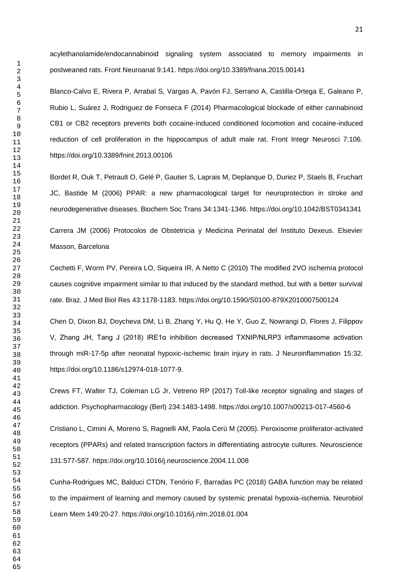acylethanolamide/endocannabinoid signaling system associated to memory impairments in postweaned rats. Front Neuroanat 9:141. https://doi.org/10.3389/fnana.2015.00141

Blanco-Calvo E, Rivera P, Arrabal S, Vargas A, Pavón FJ, Serrano A, Castilla-Ortega E, Galeano P, Rubio L, Suárez J, Rodriguez de Fonseca F (2014) Pharmacological blockade of either cannabinoid CB1 or CB2 receptors prevents both cocaine-induced conditioned locomotion and cocaine-induced reduction of cell proliferation in the hippocampus of adult male rat. Front Integr Neurosci 7:106. https://doi.org/10.3389/fnint.2013.00106

Bordet R, Ouk T, Petrault O, Gelé P, Gautier S, Laprais M, Deplanque D, Duriez P, Staels B, Fruchart JC, Bastide M (2006) PPAR: a new pharmacological target for neuroprotection in stroke and neurodegenerative diseases. Biochem Soc Trans 34:1341-1346. https://doi.org/10.1042/BST0341341

Carrera JM (2006) Protocolos de Obstetricia y Medicina Perinatal del Instituto Dexeus. Elsevier Masson, Barcelona

Cechetti F, Worm PV, Pereira LO, Siqueira IR, A Netto C (2010) The modified 2VO ischemia protocol causes cognitive impairment similar to that induced by the standard method, but with a better survival rate. Braz. J Med Biol Res 43:1178-1183. https://doi.org/10.1590/S0100-879X2010007500124

Chen D, Dixon BJ, Doycheva DM, Li B, Zhang Y, Hu Q, He Y, Guo Z, Nowrangi D, Flores J, Filippov V, Zhang JH, Tang J (2018) IRE1α inhibition decreased TXNIP/NLRP3 inflammasome activation through miR-17-5p after neonatal hypoxic-ischemic brain injury in rats. J Neuroinflammation 15:32. https://doi.org/10.1186/s12974-018-1077-9.

Crews FT, Walter TJ, Coleman LG Jr, Vetreno RP (2017) Toll-like receptor signaling and stages of addiction. Psychopharmacology (Berl) 234:1483-1498. https://doi.org/10.1007/s00213-017-4560-6

Cristiano L, Cimini A, Moreno S, Ragnelli AM, Paola Cerù M (2005). Peroxisome proliferator-activated receptors (PPARs) and related transcription factors in differentiating astrocyte cultures. Neuroscience 131:577-587. https://doi.org/10.1016/j.neuroscience.2004.11.008

Cunha-Rodrigues MC, Balduci CTDN, Tenório F, Barradas PC (2018) GABA function may be related to the impairment of learning and memory caused by systemic prenatal hypoxia-ischemia. Neurobiol Learn Mem 149:20-27. https://doi.org/10.1016/j.nlm.2018.01.004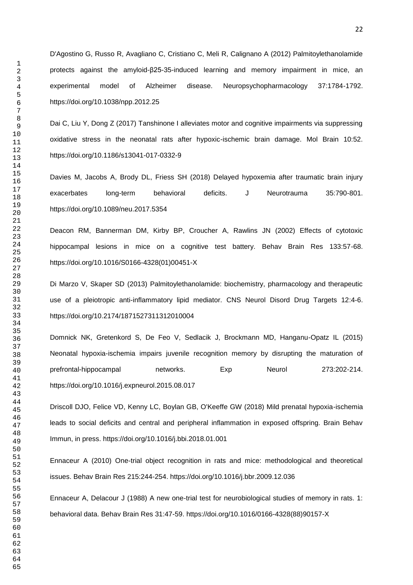D'Agostino G, Russo R, Avagliano C, Cristiano C, Meli R, Calignano A (2012) Palmitoylethanolamide protects against the amyloid-β25-35-induced learning and memory impairment in mice, an experimental model of Alzheimer disease. Neuropsychopharmacology 37:1784-1792. https://doi.org/10.1038/npp.2012.25

Dai C, Liu Y, Dong Z (2017) Tanshinone I alleviates motor and cognitive impairments via suppressing oxidative stress in the neonatal rats after hypoxic-ischemic brain damage. Mol Brain 10:52. https://doi.org/10.1186/s13041-017-0332-9

Davies M, Jacobs A, Brody DL, Friess SH (2018) Delayed hypoxemia after traumatic brain injury exacerbates long-term behavioral deficits. J Neurotrauma 35:790-801. https://doi.org/10.1089/neu.2017.5354

Deacon RM, Bannerman DM, Kirby BP, Croucher A, Rawlins JN (2002) Effects of cytotoxic hippocampal lesions in mice on a cognitive test battery. Behav Brain Res 133:57-68. https://doi.org/10.1016/S0166-4328(01)00451-X

Di Marzo V, Skaper SD (2013) Palmitoylethanolamide: biochemistry, pharmacology and therapeutic use of a pleiotropic anti-inflammatory lipid mediator. CNS Neurol Disord Drug Targets 12:4-6. https://doi.org/10.2174/1871527311312010004

Domnick NK, Gretenkord S, De Feo V, Sedlacik J, Brockmann MD, Hanganu-Opatz IL (2015) Neonatal hypoxia-ischemia impairs juvenile recognition memory by disrupting the maturation of prefrontal-hippocampal networks. Exp Neurol 273:202-214. https://doi.org/10.1016/j.expneurol.2015.08.017

Driscoll DJO, Felice VD, Kenny LC, Boylan GB, O'Keeffe GW (2018) Mild prenatal hypoxia-ischemia leads to social deficits and central and peripheral inflammation in exposed offspring. Brain Behav Immun, in press. https://doi.org/10.1016/j.bbi.2018.01.001

Ennaceur A (2010) One-trial object recognition in rats and mice: methodological and theoretical issues. Behav Brain Res 215:244-254. https://doi.org/10.1016/j.bbr.2009.12.036

Ennaceur A, Delacour J (1988) A new one-trial test for neurobiological studies of memory in rats. 1: behavioral data. Behav Brain Res 31:47-59. https://doi.org/10.1016/0166-4328(88)90157-X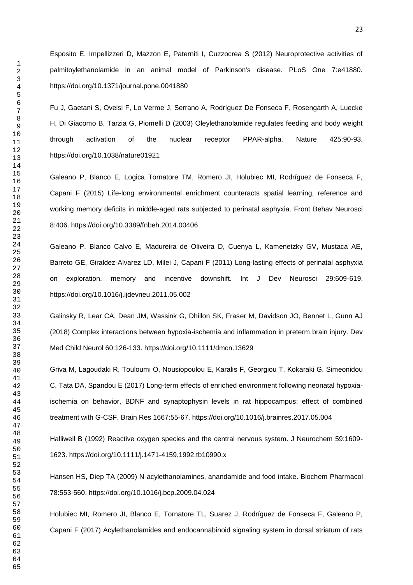Esposito E, Impellizzeri D, Mazzon E, Paterniti I, Cuzzocrea S (2012) Neuroprotective activities of palmitoylethanolamide in an animal model of Parkinson's disease. PLoS One 7:e41880. https://doi.org/10.1371/journal.pone.0041880

Fu J, Gaetani S, Oveisi F, Lo Verme J, Serrano A, Rodríguez De Fonseca F, Rosengarth A, Luecke H, Di Giacomo B, Tarzia G, Piomelli D (2003) Oleylethanolamide regulates feeding and body weight through activation of the nuclear receptor PPAR-alpha. Nature 425:90-93. https://doi.org/10.1038/nature01921

Galeano P, Blanco E, Logica Tornatore TM, Romero JI, Holubiec MI, Rodríguez de Fonseca F, Capani F (2015) Life-long environmental enrichment counteracts spatial learning, reference and working memory deficits in middle-aged rats subjected to perinatal asphyxia. Front Behav Neurosci 8:406. https://doi.org/10.3389/fnbeh.2014.00406

Galeano P, Blanco Calvo E, Madureira de Oliveira D, Cuenya L, Kamenetzky GV, Mustaca AE, Barreto GE, Giraldez-Alvarez LD, Milei J, Capani F (2011) Long-lasting effects of perinatal asphyxia on exploration, memory and incentive downshift. Int J Dev Neurosci 29:609-619. https://doi.org/10.1016/j.ijdevneu.2011.05.002

Galinsky R, Lear CA, Dean JM, Wassink G, Dhillon SK, Fraser M, Davidson JO, Bennet L, Gunn AJ (2018) Complex interactions between hypoxia-ischemia and inflammation in preterm brain injury. Dev Med Child Neurol 60:126-133. https://doi.org/10.1111/dmcn.13629

Griva M, Lagoudaki R, Touloumi O, Nousiopoulou E, Karalis F, Georgiou T, Kokaraki G, Simeonidou C, Tata DA, Spandou E (2017) Long-term effects of enriched environment following neonatal hypoxiaischemia on behavior, BDNF and synaptophysin levels in rat hippocampus: effect of combined treatment with G-CSF. Brain Res 1667:55-67. https://doi.org/10.1016/j.brainres.2017.05.004

Halliwell B (1992) Reactive oxygen species and the central nervous system. J Neurochem 59:1609- 1623. https://doi.org/10.1111/j.1471-4159.1992.tb10990.x

Hansen HS, Diep TA (2009) N-acylethanolamines, anandamide and food intake. Biochem Pharmacol 78:553-560. https://doi.org/10.1016/j.bcp.2009.04.024

Holubiec MI, Romero JI, Blanco E, Tornatore TL, Suarez J, Rodríguez de Fonseca F, Galeano P, Capani F (2017) Acylethanolamides and endocannabinoid signaling system in dorsal striatum of rats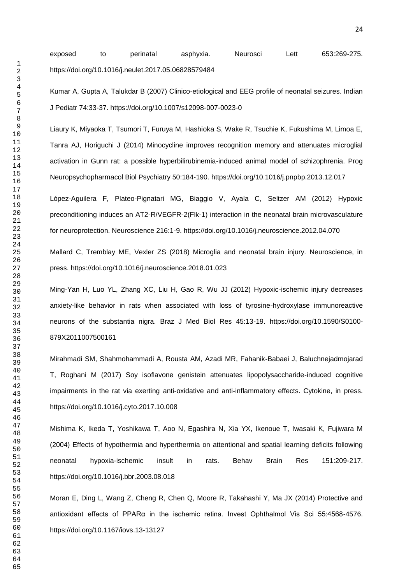exposed to perinatal asphyxia. Neurosci Lett 653:269-275. https://doi.org/10.1016/j.neulet.2017.05.06828579484

Kumar A, Gupta A, Talukdar B (2007) Clinico-etiological and EEG profile of neonatal seizures. Indian J Pediatr 74:33-37. https://doi.org/10.1007/s12098-007-0023-0

Liaury K, Miyaoka T, Tsumori T, Furuya M, Hashioka S, Wake R, Tsuchie K, Fukushima M, Limoa E, Tanra AJ, Horiguchi J (2014) Minocycline improves recognition memory and attenuates microglial activation in Gunn rat: a possible hyperbilirubinemia-induced animal model of schizophrenia. Prog Neuropsychopharmacol Biol Psychiatry 50:184-190. https://doi.org/10.1016/j.pnpbp.2013.12.017

López-Aguilera F, Plateo-Pignatari MG, Biaggio V, Ayala C, Seltzer AM (2012) Hypoxic preconditioning induces an AT2-R/VEGFR-2(Flk-1) interaction in the neonatal brain microvasculature for neuroprotection. Neuroscience 216:1-9. https://doi.org/10.1016/j.neuroscience.2012.04.070

Mallard C, Tremblay ME, Vexler ZS (2018) Microglia and neonatal brain injury. Neuroscience, in press. https://doi.org/10.1016/j.neuroscience.2018.01.023

Ming-Yan H, Luo YL, Zhang XC, Liu H, Gao R, Wu JJ (2012) Hypoxic-ischemic injury decreases anxiety-like behavior in rats when associated with loss of tyrosine-hydroxylase immunoreactive neurons of the substantia nigra. Braz J Med Biol Res 45:13-19. https://doi.org/10.1590/S0100- 879X2011007500161

Mirahmadi SM, Shahmohammadi A, Rousta AM, Azadi MR, Fahanik-Babaei J, Baluchnejadmojarad T, Roghani M (2017) Soy isoflavone genistein attenuates lipopolysaccharide-induced cognitive impairments in the rat via exerting anti-oxidative and anti-inflammatory effects. Cytokine, in press. https://doi.org/10.1016/j.cyto.2017.10.008

Mishima K, Ikeda T, Yoshikawa T, Aoo N, Egashira N, Xia YX, Ikenoue T, Iwasaki K, Fujiwara M (2004) Effects of hypothermia and hyperthermia on attentional and spatial learning deficits following neonatal hypoxia-ischemic insult in rats. Behav Brain Res 151:209-217. https://doi.org/10.1016/j.bbr.2003.08.018

Moran E, Ding L, Wang Z, Cheng R, Chen Q, Moore R, Takahashi Y, Ma JX (2014) Protective and antioxidant effects of PPARα in the ischemic retina. Invest Ophthalmol Vis Sci 55:4568-4576. https://doi.org/10.1167/iovs.13-13127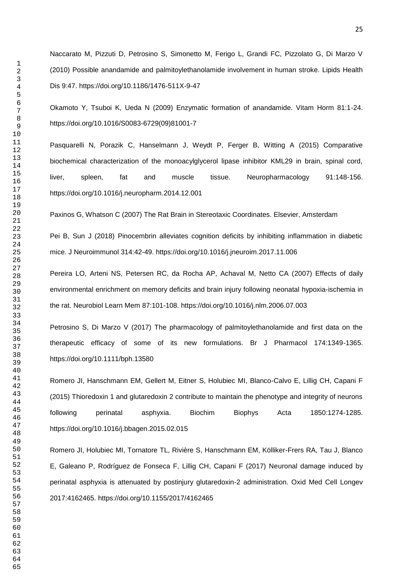Okamoto Y, Tsuboi K, Ueda N (2009) Enzymatic formation of anandamide. Vitam Horm 81:1-24. https://doi.org/10.1016/S0083-6729(09)81001-7

Pasquarelli N, Porazik C, Hanselmann J, Weydt P, Ferger B, Witting A (2015) Comparative biochemical characterization of the monoacylglycerol lipase inhibitor KML29 in brain, spinal cord, liver, spleen, fat and muscle tissue. Neuropharmacology 91:148-156. https://doi.org/10.1016/j.neuropharm.2014.12.001

Paxinos G, Whatson C (2007) The Rat Brain in Stereotaxic Coordinates. Elsevier, Amsterdam

Pei B, Sun J (2018) Pinocembrin alleviates cognition deficits by inhibiting inflammation in diabetic mice. J Neuroimmunol 314:42-49. https://doi.org/10.1016/j.jneuroim.2017.11.006

Pereira LO, Arteni NS, Petersen RC, da Rocha AP, Achaval M, Netto CA (2007) Effects of daily environmental enrichment on memory deficits and brain injury following neonatal hypoxia-ischemia in the rat. Neurobiol Learn Mem 87:101-108. https://doi.org/10.1016/j.nlm.2006.07.003

Petrosino S, Di Marzo V (2017) The pharmacology of palmitoylethanolamide and first data on the therapeutic efficacy of some of its new formulations. Br J Pharmacol 174:1349-1365. https://doi.org/10.1111/bph.13580

Romero JI, Hanschmann EM, Gellert M, Eitner S, Holubiec MI, Blanco-Calvo E, Lillig CH, Capani F (2015) Thioredoxin 1 and glutaredoxin 2 contribute to maintain the phenotype and integrity of neurons following perinatal asphyxia. Biochim Biophys Acta 1850:1274-1285. https://doi.org/10.1016/j.bbagen.2015.02.015

Romero JI, Holubiec MI, Tornatore TL, Rivière S, Hanschmann EM, Kölliker-Frers RA, Tau J, Blanco E, Galeano P, Rodríguez de Fonseca F, Lillig CH, Capani F (2017) Neuronal damage induced by perinatal asphyxia is attenuated by postinjury glutaredoxin-2 administration. Oxid Med Cell Longev 2017:4162465. https://doi.org/10.1155/2017/4162465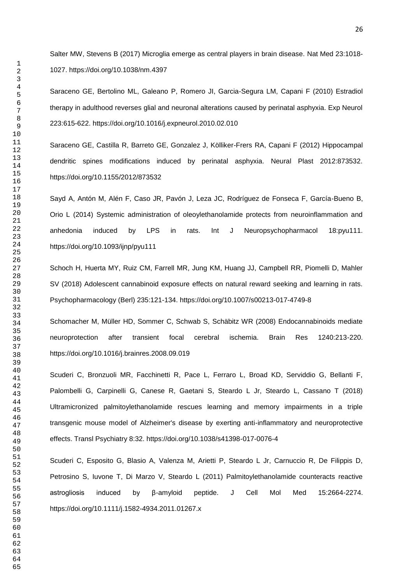Salter MW, Stevens B (2017) Microglia emerge as central players in brain disease. Nat Med 23:1018- 1027. https://doi.org/10.1038/nm.4397

Saraceno GE, Bertolino ML, Galeano P, Romero JI, Garcia-Segura LM, Capani F (2010) Estradiol therapy in adulthood reverses glial and neuronal alterations caused by perinatal asphyxia. Exp Neurol 223:615-622. https://doi.org/10.1016/j.expneurol.2010.02.010

Saraceno GE, Castilla R, Barreto GE, Gonzalez J, Kölliker-Frers RA, Capani F (2012) Hippocampal dendritic spines modifications induced by perinatal asphyxia. Neural Plast 2012:873532. https://doi.org/10.1155/2012/873532

Sayd A, Antón M, Alén F, Caso JR, Pavón J, Leza JC, Rodríguez de Fonseca F, García-Bueno B, Orio L (2014) Systemic administration of oleoylethanolamide protects from neuroinflammation and anhedonia induced by LPS in rats. Int J Neuropsychopharmacol 18:pyu111. https://doi.org/10.1093/ijnp/pyu111

Schoch H, Huerta MY, Ruiz CM, Farrell MR, Jung KM, Huang JJ, Campbell RR, Piomelli D, Mahler SV (2018) Adolescent cannabinoid exposure effects on natural reward seeking and learning in rats. Psychopharmacology (Berl) 235:121-134. https://doi.org/10.1007/s00213-017-4749-8

Schomacher M, Müller HD, Sommer C, Schwab S, Schäbitz WR (2008) Endocannabinoids mediate neuroprotection after transient focal cerebral ischemia. Brain Res 1240:213-220. https://doi.org/10.1016/j.brainres.2008.09.019

Scuderi C, Bronzuoli MR, Facchinetti R, Pace L, Ferraro L, Broad KD, Serviddio G, Bellanti F, Palombelli G, Carpinelli G, Canese R, Gaetani S, Steardo L Jr, Steardo L, Cassano T (2018) Ultramicronized palmitoylethanolamide rescues learning and memory impairments in a triple transgenic mouse model of Alzheimer's disease by exerting anti-inflammatory and neuroprotective effects. Transl Psychiatry 8:32. https://doi.org/10.1038/s41398-017-0076-4

Scuderi C, Esposito G, Blasio A, Valenza M, Arietti P, Steardo L Jr, Carnuccio R, De Filippis D, Petrosino S, Iuvone T, Di Marzo V, Steardo L (2011) Palmitoylethanolamide counteracts reactive astrogliosis induced by β-amyloid peptide. J Cell Mol Med 15:2664-2274. https://doi.org/10.1111/j.1582-4934.2011.01267.x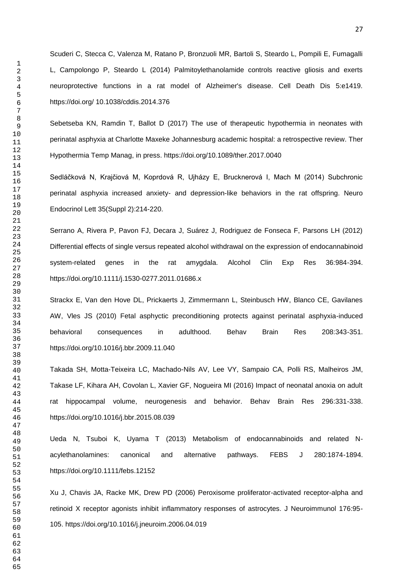Scuderi C, Stecca C, Valenza M, Ratano P, Bronzuoli MR, Bartoli S, Steardo L, Pompili E, Fumagalli L, Campolongo P, Steardo L (2014) Palmitoylethanolamide controls reactive gliosis and exerts neuroprotective functions in a rat model of Alzheimer's disease. Cell Death Dis 5:e1419. https://doi.org/ 10.1038/cddis.2014.376

Sebetseba KN, Ramdin T, Ballot D (2017) The use of therapeutic hypothermia in neonates with perinatal asphyxia at Charlotte Maxeke Johannesburg academic hospital: a retrospective review. Ther Hypothermia Temp Manag, in press. https://doi.org/10.1089/ther.2017.0040

Sedláčková N, Krajčiová M, Koprdová R, Ujházy E, Brucknerová I, Mach M (2014) Subchronic perinatal asphyxia increased anxiety- and depression-like behaviors in the rat offspring. Neuro Endocrinol Lett 35(Suppl 2):214-220.

Serrano A, Rivera P, Pavon FJ, Decara J, Suárez J, Rodriguez de Fonseca F, Parsons LH (2012) Differential effects of single versus repeated alcohol withdrawal on the expression of endocannabinoid system-related genes in the rat amygdala. Alcohol Clin Exp Res 36:984-394. https://doi.org/10.1111/j.1530-0277.2011.01686.x

Strackx E, Van den Hove DL, Prickaerts J, Zimmermann L, Steinbusch HW, Blanco CE, Gavilanes AW, Vles JS (2010) Fetal asphyctic preconditioning protects against perinatal asphyxia-induced behavioral consequences in adulthood. Behav Brain Res 208:343-351. https://doi.org/10.1016/j.bbr.2009.11.040

Takada SH, Motta-Teixeira LC, Machado-Nils AV, Lee VY, Sampaio CA, Polli RS, Malheiros JM, Takase LF, Kihara AH, Covolan L, Xavier GF, Nogueira MI (2016) Impact of neonatal anoxia on adult rat hippocampal volume, neurogenesis and behavior. Behav Brain Res 296:331-338. https://doi.org/10.1016/j.bbr.2015.08.039

Ueda N, Tsuboi K, Uyama T (2013) Metabolism of endocannabinoids and related Nacylethanolamines: canonical and alternative pathways. FEBS J 280:1874-1894. https://doi.org/10.1111/febs.12152

Xu J, Chavis JA, Racke MK, Drew PD (2006) Peroxisome proliferator-activated receptor-alpha and retinoid X receptor agonists inhibit inflammatory responses of astrocytes. J Neuroimmunol 176:95- 105. https://doi.org/10.1016/j.jneuroim.2006.04.019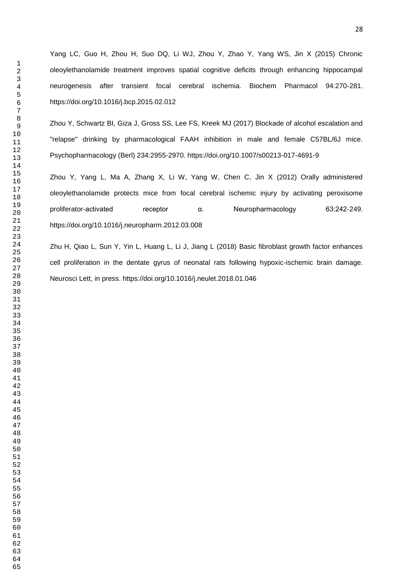Yang LC, Guo H, Zhou H, Suo DQ, Li WJ, Zhou Y, Zhao Y, Yang WS, Jin X (2015) Chronic oleoylethanolamide treatment improves spatial cognitive deficits through enhancing hippocampal neurogenesis after transient focal cerebral ischemia. Biochem Pharmacol 94:270-281. https://doi.org/10.1016/j.bcp.2015.02.012

Zhou Y, Schwartz BI, Giza J, Gross SS, Lee FS, Kreek MJ (2017) Blockade of alcohol escalation and "relapse" drinking by pharmacological FAAH inhibition in male and female C57BL/6J mice. Psychopharmacology (Berl) 234:2955-2970. https://doi.org/10.1007/s00213-017-4691-9

Zhou Y, Yang L, Ma A, Zhang X, Li W, Yang W, Chen C, Jin X (2012) Orally administered oleoylethanolamide protects mice from focal cerebral ischemic injury by activating peroxisome proliferator-activated receptor α. Neuropharmacology 63:242-249. https://doi.org/10.1016/j.neuropharm.2012.03.008

Zhu H, Qiao L, Sun Y, Yin L, Huang L, Li J, Jiang L (2018) Basic fibroblast growth factor enhances cell proliferation in the dentate gyrus of neonatal rats following hypoxic-ischemic brain damage. Neurosci Lett, in press. https://doi.org/10.1016/j.neulet.2018.01.046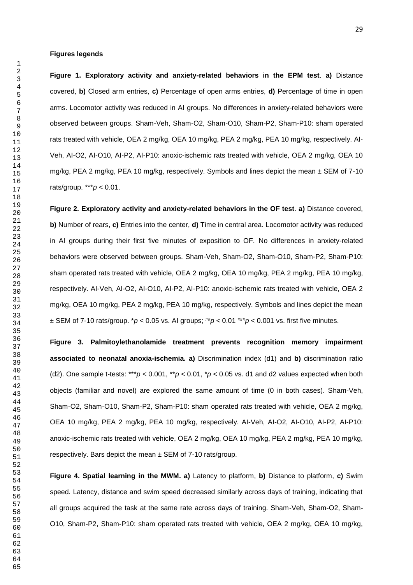#### **Figures legends**

**Figure 1. Exploratory activity and anxiety-related behaviors in the EPM test**. **a)** Distance covered, **b)** Closed arm entries, **c)** Percentage of open arms entries, **d)** Percentage of time in open arms. Locomotor activity was reduced in AI groups. No differences in anxiety-related behaviors were observed between groups. Sham-Veh, Sham-O2, Sham-O10, Sham-P2, Sham-P10: sham operated rats treated with vehicle, OEA 2 mg/kg, OEA 10 mg/kg, PEA 2 mg/kg, PEA 10 mg/kg, respectively. AI-Veh, AI-O2, AI-O10, AI-P2, AI-P10: anoxic-ischemic rats treated with vehicle, OEA 2 mg/kg, OEA 10 mg/kg, PEA 2 mg/kg, PEA 10 mg/kg, respectively. Symbols and lines depict the mean ± SEM of 7-10 rats/group. \*\*\**p* < 0.01.

**Figure 2. Exploratory activity and anxiety-related behaviors in the OF test**. **a)** Distance covered, **b)** Number of rears, **c)** Entries into the center, **d)** Time in central area. Locomotor activity was reduced in AI groups during their first five minutes of exposition to OF. No differences in anxiety-related behaviors were observed between groups. Sham-Veh, Sham-O2, Sham-O10, Sham-P2, Sham-P10: sham operated rats treated with vehicle, OEA 2 mg/kg, OEA 10 mg/kg, PEA 2 mg/kg, PEA 10 mg/kg, respectively. AI-Veh, AI-O2, AI-O10, AI-P2, AI-P10: anoxic-ischemic rats treated with vehicle, OEA 2 mg/kg, OEA 10 mg/kg, PEA 2 mg/kg, PEA 10 mg/kg, respectively. Symbols and lines depict the mean  $\pm$  SEM of 7-10 rats/group.  $p < 0.05$  vs. AI groups;  $^{tt}p < 0.01$   $^{tt}tp < 0.001$  vs. first five minutes.

**Figure 3. Palmitoylethanolamide treatment prevents recognition memory impairment associated to neonatal anoxia-ischemia. a)** Discrimination index (d1) and **b)** discrimination ratio (d2). One sample t-tests: \*\*\* $p < 0.001$ , \*\* $p < 0.01$ , \* $p < 0.05$  vs. d1 and d2 values expected when both objects (familiar and novel) are explored the same amount of time (0 in both cases). Sham-Veh, Sham-O2, Sham-O10, Sham-P2, Sham-P10: sham operated rats treated with vehicle, OEA 2 mg/kg, OEA 10 mg/kg, PEA 2 mg/kg, PEA 10 mg/kg, respectively. AI-Veh, AI-O2, AI-O10, AI-P2, AI-P10: anoxic-ischemic rats treated with vehicle, OEA 2 mg/kg, OEA 10 mg/kg, PEA 2 mg/kg, PEA 10 mg/kg, respectively. Bars depict the mean ± SEM of 7-10 rats/group.

**Figure 4. Spatial learning in the MWM. a)** Latency to platform, **b)** Distance to platform, **c)** Swim speed. Latency, distance and swim speed decreased similarly across days of training, indicating that all groups acquired the task at the same rate across days of training. Sham-Veh, Sham-O2, Sham-O10, Sham-P2, Sham-P10: sham operated rats treated with vehicle, OEA 2 mg/kg, OEA 10 mg/kg,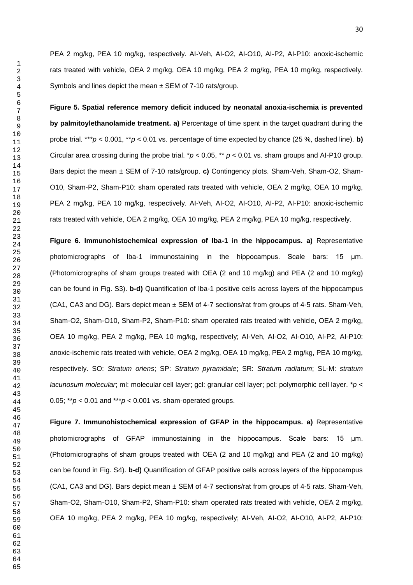PEA 2 mg/kg, PEA 10 mg/kg, respectively. AI-Veh, AI-O2, AI-O10, AI-P2, AI-P10: anoxic-ischemic rats treated with vehicle, OEA 2 mg/kg, OEA 10 mg/kg, PEA 2 mg/kg, PEA 10 mg/kg, respectively. Symbols and lines depict the mean  $\pm$  SEM of 7-10 rats/group.

**Figure 5. Spatial reference memory deficit induced by neonatal anoxia-ischemia is prevented by palmitoylethanolamide treatment. a)** Percentage of time spent in the target quadrant during the probe trial. \*\*\**p* < 0.001, \*\**p* < 0.01 vs. percentage of time expected by chance (25 %, dashed line). **b)** Circular area crossing during the probe trial. \**p* < 0.05, \*\* *p* < 0.01 vs. sham groups and AI-P10 group. Bars depict the mean ± SEM of 7-10 rats/group. **c)** Contingency plots. Sham-Veh, Sham-O2, Sham-O10, Sham-P2, Sham-P10: sham operated rats treated with vehicle, OEA 2 mg/kg, OEA 10 mg/kg, PEA 2 mg/kg, PEA 10 mg/kg, respectively. AI-Veh, AI-O2, AI-O10, AI-P2, AI-P10: anoxic-ischemic rats treated with vehicle, OEA 2 mg/kg, OEA 10 mg/kg, PEA 2 mg/kg, PEA 10 mg/kg, respectively.

**Figure 6. Immunohistochemical expression of Iba-1 in the hippocampus. a)** Representative photomicrographs of Iba-1 immunostaining in the hippocampus. Scale bars: 15 μm. (Photomicrographs of sham groups treated with OEA (2 and 10 mg/kg) and PEA (2 and 10 mg/kg) can be found in Fig. S3). **b-d)** Quantification of Iba-1 positive cells across layers of the hippocampus (CA1, CA3 and DG). Bars depict mean ± SEM of 4-7 sections/rat from groups of 4-5 rats. Sham-Veh, Sham-O2, Sham-O10, Sham-P2, Sham-P10: sham operated rats treated with vehicle, OEA 2 mg/kg, OEA 10 mg/kg, PEA 2 mg/kg, PEA 10 mg/kg, respectively; AI-Veh, AI-O2, AI-O10, AI-P2, AI-P10: anoxic-ischemic rats treated with vehicle, OEA 2 mg/kg, OEA 10 mg/kg, PEA 2 mg/kg, PEA 10 mg/kg, respectively. SO: *Stratum oriens*; SP: *Stratum pyramidale*; SR: *Stratum radiatum*; SL-M: *stratum lacunosum molecular*; ml: molecular cell layer; gcl: granular cell layer; pcl: polymorphic cell layer. \**p* < 0.05;  $*^{*}p$  < 0.01 and  $*^{*}p$  < 0.001 vs. sham-operated groups.

**Figure 7. Immunohistochemical expression of GFAP in the hippocampus. a)** Representative photomicrographs of GFAP immunostaining in the hippocampus. Scale bars: 15 μm. (Photomicrographs of sham groups treated with OEA (2 and 10 mg/kg) and PEA (2 and 10 mg/kg) can be found in Fig. S4). **b-d)** Quantification of GFAP positive cells across layers of the hippocampus (CA1, CA3 and DG). Bars depict mean ± SEM of 4-7 sections/rat from groups of 4-5 rats. Sham-Veh, Sham-O2, Sham-O10, Sham-P2, Sham-P10: sham operated rats treated with vehicle, OEA 2 mg/kg, OEA 10 mg/kg, PEA 2 mg/kg, PEA 10 mg/kg, respectively; AI-Veh, AI-O2, AI-O10, AI-P2, AI-P10: